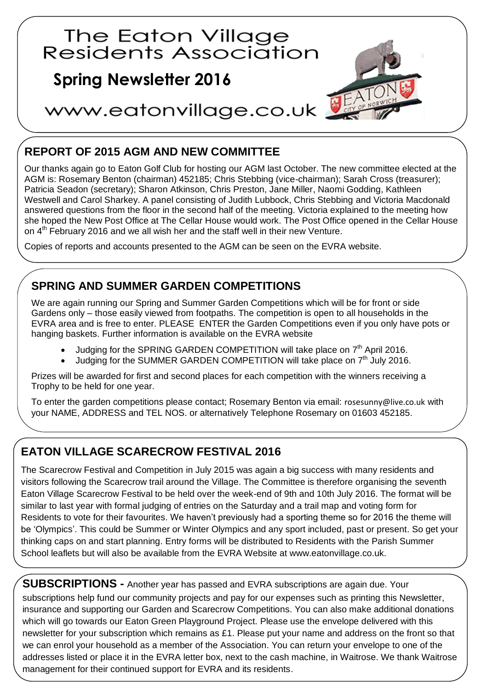

## **REPORT OF 2015 AGM AND NEW COMMITTEE**

Our thanks again go to Eaton Golf Club for hosting our AGM last October. The new committee elected at the AGM is: Rosemary Benton (chairman) 452185; Chris Stebbing (vice-chairman); Sarah Cross (treasurer); Patricia Seadon (secretary); Sharon Atkinson, Chris Preston, Jane Miller, Naomi Godding, Kathleen Westwell and Carol Sharkey. A panel consisting of Judith Lubbock, Chris Stebbing and Victoria Macdonald answered questions from the floor in the second half of the meeting. Victoria explained to the meeting how she hoped the New Post Office at The Cellar House would work. The Post Office opened in the Cellar House on  $4<sup>th</sup>$  February 2016 and we all wish her and the staff well in their new Venture.

Copies of reports and accounts presented to the AGM can be seen on the EVRA website.

## **SPRING AND SUMMER GARDEN COMPETITIONS**

We are again running our Spring and Summer Garden Competitions which will be for front or side Gardens only – those easily viewed from footpaths. The competition is open to all households in the EVRA area and is free to enter. PLEASE ENTER the Garden Competitions even if you only have pots or hanging baskets. Further information is available on the EVRA website

- $\bullet$  Judging for the SPRING GARDEN COMPETITION will take place on  $7<sup>th</sup>$  April 2016.
- $\bullet$  Judging for the SUMMER GARDEN COMPETITION will take place on  $7<sup>th</sup>$  July 2016.

Prizes will be awarded for first and second places for each competition with the winners receiving a Trophy to be held for one year.

To enter the garden competitions please contact; Rosemary Benton via email: [rosesunny@live.co.uk](mailto:rosesunny@live.co.uk) with your NAME, ADDRESS and TEL NOS. or alternatively Telephone Rosemary on 01603 452185.

## **EATON VILLAGE SCARECROW FESTIVAL 2016**

The Scarecrow Festival and Competition in July 2015 was again a big success with many residents and visitors following the Scarecrow trail around the Village. The Committee is therefore organising the seventh Eaton Village Scarecrow Festival to be held over the week-end of 9th and 10th July 2016. The format will be similar to last year with formal judging of entries on the Saturday and a trail map and voting form for Residents to vote for their favourites. We haven't previously had a sporting theme so for 2016 the theme will be 'Olympics'. This could be Summer or Winter Olympics and any sport included, past or present. So get your thinking caps on and start planning. Entry forms will be distributed to Residents with the Parish Summer School leaflets but will also be available from the EVRA Website at www.eatonvillage.co.uk.

**SUBSCRIPTIONS -** Another year has passed and EVRA subscriptions are again due. Your subscriptions help fund our community projects and pay for our expenses such as printing this Newsletter, insurance and supporting our Garden and Scarecrow Competitions. You can also make additional donations which will go towards our Eaton Green Playground Project. Please use the envelope delivered with this newsletter for your subscription which remains as £1. Please put your name and address on the front so that we can enrol your household as a member of the Association. You can return your envelope to one of the addresses listed or place it in the EVRA letter box, next to the cash machine, in Waitrose. We thank Waitrose management for their continued support for EVRA and its residents.